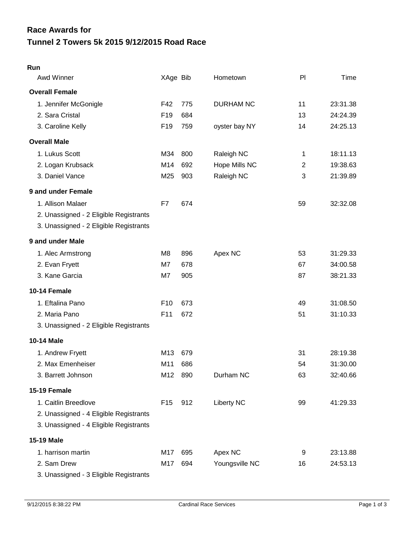| Awd Winner                             | XAge Bib        |     | Hometown          | PI           | Time     |
|----------------------------------------|-----------------|-----|-------------------|--------------|----------|
| <b>Overall Female</b>                  |                 |     |                   |              |          |
| 1. Jennifer McGonigle                  | F42             | 775 | <b>DURHAM NC</b>  | 11           | 23:31.38 |
| 2. Sara Cristal                        | F <sub>19</sub> | 684 |                   | 13           | 24:24.39 |
| 3. Caroline Kelly                      | F <sub>19</sub> | 759 | oyster bay NY     | 14           | 24:25.13 |
| <b>Overall Male</b>                    |                 |     |                   |              |          |
| 1. Lukus Scott                         | M34             | 800 | Raleigh NC        | 1            | 18:11.13 |
| 2. Logan Krubsack                      | M14             | 692 | Hope Mills NC     | $\mathbf{2}$ | 19:38.63 |
| 3. Daniel Vance                        | M25             | 903 | Raleigh NC        | 3            | 21:39.89 |
| 9 and under Female                     |                 |     |                   |              |          |
| 1. Allison Malaer                      | F7              | 674 |                   | 59           | 32:32.08 |
| 2. Unassigned - 2 Eligible Registrants |                 |     |                   |              |          |
| 3. Unassigned - 2 Eligible Registrants |                 |     |                   |              |          |
| 9 and under Male                       |                 |     |                   |              |          |
| 1. Alec Armstrong                      | M <sub>8</sub>  | 896 | Apex NC           | 53           | 31:29.33 |
| 2. Evan Fryett                         | M7              | 678 |                   | 67           | 34:00.58 |
| 3. Kane Garcia                         | M7              | 905 |                   | 87           | 38:21.33 |
| 10-14 Female                           |                 |     |                   |              |          |
| 1. Eftalina Pano                       | F <sub>10</sub> | 673 |                   | 49           | 31:08.50 |
| 2. Maria Pano                          | F11             | 672 |                   | 51           | 31:10.33 |
| 3. Unassigned - 2 Eligible Registrants |                 |     |                   |              |          |
| <b>10-14 Male</b>                      |                 |     |                   |              |          |
| 1. Andrew Fryett                       | M13             | 679 |                   | 31           | 28:19.38 |
| 2. Max Emenheiser                      | M11             | 686 |                   | 54           | 31:30.00 |
| 3. Barrett Johnson                     | M12             | 890 | Durham NC         | 63           | 32:40.66 |
| 15-19 Female                           |                 |     |                   |              |          |
| 1. Caitlin Breedlove                   | F <sub>15</sub> | 912 | <b>Liberty NC</b> | 99           | 41:29.33 |
| 2. Unassigned - 4 Eligible Registrants |                 |     |                   |              |          |
| 3. Unassigned - 4 Eligible Registrants |                 |     |                   |              |          |
| <b>15-19 Male</b>                      |                 |     |                   |              |          |
| 1. harrison martin                     | M17             | 695 | Apex NC           | 9            | 23:13.88 |
| 2. Sam Drew                            | M17             | 694 | Youngsville NC    | 16           | 24:53.13 |
| 3. Unassigned - 3 Eligible Registrants |                 |     |                   |              |          |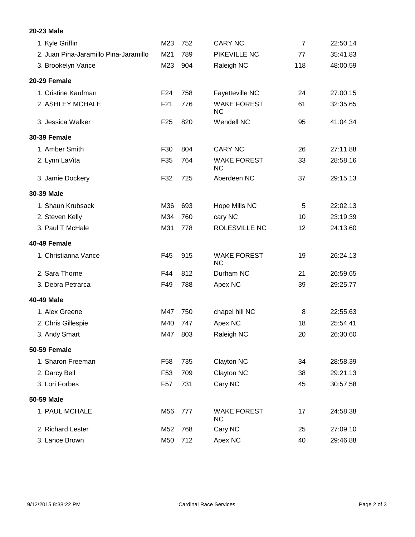## **20-23 Male**

| 1. Kyle Griffin                       | M23             | 752 | <b>CARY NC</b>                  | $\overline{7}$ | 22:50.14 |
|---------------------------------------|-----------------|-----|---------------------------------|----------------|----------|
| 2. Juan Pina-Jaramillo Pina-Jaramillo | M21             | 789 | PIKEVILLE NC                    | 77             | 35:41.83 |
| 3. Brookelyn Vance                    | M23             | 904 | Raleigh NC                      | 118            | 48:00.59 |
| 20-29 Female                          |                 |     |                                 |                |          |
| 1. Cristine Kaufman                   | F <sub>24</sub> | 758 | Fayetteville NC                 | 24             | 27:00.15 |
| 2. ASHLEY MCHALE                      | F21             | 776 | <b>WAKE FOREST</b><br><b>NC</b> | 61             | 32:35.65 |
| 3. Jessica Walker                     | F <sub>25</sub> | 820 | Wendell NC                      | 95             | 41:04.34 |
| <b>30-39 Female</b>                   |                 |     |                                 |                |          |
| 1. Amber Smith                        | F30             | 804 | <b>CARY NC</b>                  | 26             | 27:11.88 |
| 2. Lynn LaVita                        | F35             | 764 | <b>WAKE FOREST</b><br><b>NC</b> | 33             | 28:58.16 |
| 3. Jamie Dockery                      | F32             | 725 | Aberdeen NC                     | 37             | 29:15.13 |
| 30-39 Male                            |                 |     |                                 |                |          |
| 1. Shaun Krubsack                     | M36             | 693 | Hope Mills NC                   | 5              | 22:02.13 |
| 2. Steven Kelly                       | M34             | 760 | cary NC                         | 10             | 23:19.39 |
| 3. Paul T McHale                      | M31             | 778 | ROLESVILLE NC                   | 12             | 24:13.60 |
| 40-49 Female                          |                 |     |                                 |                |          |
| 1. Christianna Vance                  | F45             | 915 | <b>WAKE FOREST</b><br><b>NC</b> | 19             | 26:24.13 |
| 2. Sara Thorne                        | F44             | 812 | Durham NC                       | 21             | 26:59.65 |
| 3. Debra Petrarca                     | F49             | 788 | Apex NC                         | 39             | 29:25.77 |
| 40-49 Male                            |                 |     |                                 |                |          |
| 1. Alex Greene                        | M47             | 750 | chapel hill NC                  | 8              | 22:55.63 |
| 2. Chris Gillespie                    | M40             | 747 | Apex NC                         | 18             | 25:54.41 |
| 3. Andy Smart                         | M47             | 803 | Raleigh NC                      | 20             | 26:30.60 |
| 50-59 Female                          |                 |     |                                 |                |          |
| 1. Sharon Freeman                     | F <sub>58</sub> | 735 | Clayton NC                      | 34             | 28:58.39 |
| 2. Darcy Bell                         | F <sub>53</sub> | 709 | Clayton NC                      | 38             | 29:21.13 |
| 3. Lori Forbes                        | F <sub>57</sub> | 731 | Cary NC                         | 45             | 30:57.58 |
| 50-59 Male                            |                 |     |                                 |                |          |
| 1. PAUL MCHALE                        | M56             | 777 | <b>WAKE FOREST</b><br>NC.       | 17             | 24:58.38 |
| 2. Richard Lester                     | M52             | 768 | Cary NC                         | 25             | 27:09.10 |
| 3. Lance Brown                        | M50             | 712 | Apex NC                         | 40             | 29:46.88 |